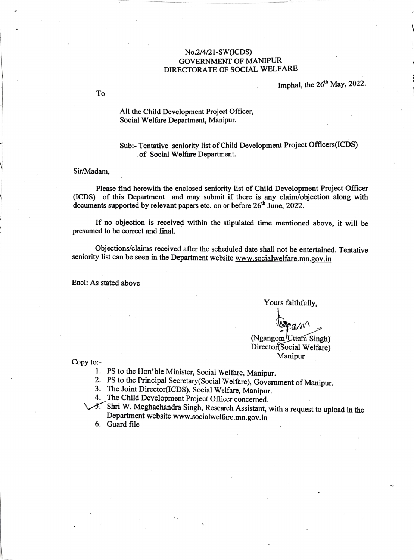## No.2/4/21-sWICDS) GOVERNMENT OF MANIPUR DIRECTORATE OF SOCIAL WELFARE

Imphal, the 26<sup>th</sup> May, 2022.

To

All the Child Development Project Officer, Social Welfare Department, Manipur.

Sub:- Tentative seniority list of Child Development Project Officers(ICDS) of Social Welfare Department.

## Sir/Madam,

Please find herewith the enclosed seniority list of Child Development Project Officer (ICDS) of this Department and may submit if there is any claim/objection along with documents supported by relevant papers etc. on or before 26<sup>th</sup> June, 2022.

If no objection is received within the stipulated time mentioned above, it will be presumed to be correct and final.

Objections/claims received after the scheduled date shall not be entertained. Tentative seniority list can be seen in the Department website www.socialwelfare.mn.gov.in

Encl: As stated above

Yours faithfully,

(Ngangom Uttam Singh)<br>Director(Social Welfare)<br>Manipur

Copy to:-<br>
Copy to:-

1. PS to the Hon'ble Minister, Social Welfare, Manipur.<br>2. PS to the Principal Secretary (Social Welfare), Government of Manipur.<br>3. The Joint Director (ICDS), Social Welfare, Manipur.<br>4. The Child Development Project Offi

- 
- 
- VS. Shri W. Meghachandra Singh, Research Assistant, with a request to upload in the Department website www.socialwelfare.mn.gov.in

6. Guard file